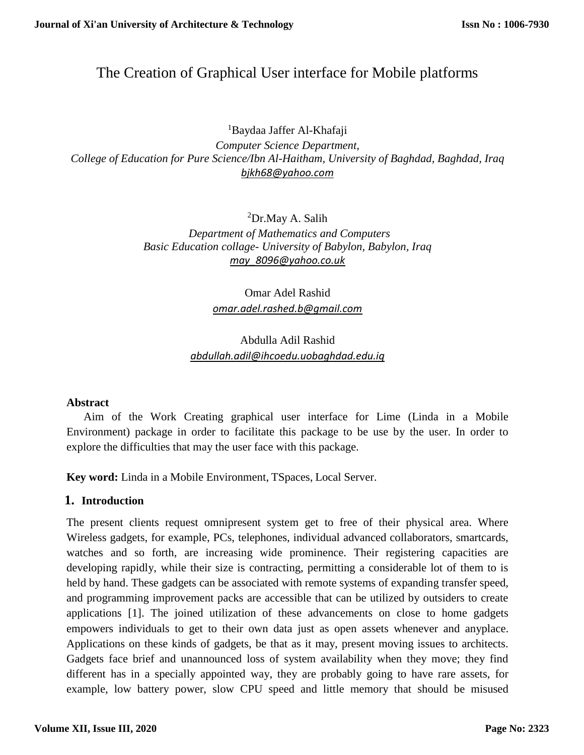# The Creation of Graphical User interface for Mobile platforms

<sup>1</sup>Baydaa Jaffer Al-Khafaji *Computer Science Department, College of Education for Pure Science/Ibn Al-Haitham, University of Baghdad, Baghdad, Iraq [bjkh68@yahoo.com](mailto:bjkh68@yahoo.com)*

> <sup>2</sup>Dr.May A. Salih  *Department of Mathematics and Computers Basic Education collage- University of Babylon, Babylon, Iraq [may\\_8096@yahoo.co.uk](mailto:may_8096@yahoo.co.uk)*

> > Omar Adel Rashid *[omar.adel.rashed.b@gmail.com](mailto:omar.adel.rashed.b@gmail.com)*

## Abdulla Adil Rashid *[abdullah.adil@ihcoedu.uobaghdad.edu.iq](mailto:abdullah.adil@ihcoedu.uobaghdad.edu.iq)*

#### **Abstract**

 Aim of the Work Creating graphical user interface for Lime (Linda in a Mobile Environment) package in order to facilitate this package to be use by the user. In order to explore the difficulties that may the user face with this package.

**Key word:** Linda in a Mobile Environment, TSpaces, Local Server.

## **1. Introduction**

The present clients request omnipresent system get to free of their physical area. Where Wireless gadgets, for example, PCs, telephones, individual advanced collaborators, smartcards, watches and so forth, are increasing wide prominence. Their registering capacities are developing rapidly, while their size is contracting, permitting a considerable lot of them to is held by hand. These gadgets can be associated with remote systems of expanding transfer speed, and programming improvement packs are accessible that can be utilized by outsiders to create applications [1]. The joined utilization of these advancements on close to home gadgets empowers individuals to get to their own data just as open assets whenever and anyplace. Applications on these kinds of gadgets, be that as it may, present moving issues to architects. Gadgets face brief and unannounced loss of system availability when they move; they find different has in a specially appointed way, they are probably going to have rare assets, for example, low battery power, slow CPU speed and little memory that should be misused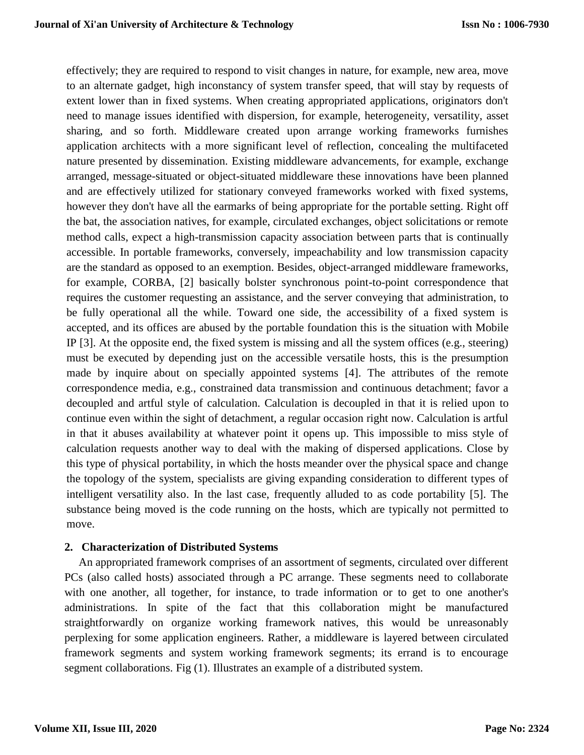effectively; they are required to respond to visit changes in nature, for example, new area, move to an alternate gadget, high inconstancy of system transfer speed, that will stay by requests of extent lower than in fixed systems. When creating appropriated applications, originators don't need to manage issues identified with dispersion, for example, heterogeneity, versatility, asset sharing, and so forth. Middleware created upon arrange working frameworks furnishes application architects with a more significant level of reflection, concealing the multifaceted nature presented by dissemination. Existing middleware advancements, for example, exchange arranged, message-situated or object-situated middleware these innovations have been planned and are effectively utilized for stationary conveyed frameworks worked with fixed systems, however they don't have all the earmarks of being appropriate for the portable setting. Right off the bat, the association natives, for example, circulated exchanges, object solicitations or remote method calls, expect a high-transmission capacity association between parts that is continually accessible. In portable frameworks, conversely, impeachability and low transmission capacity are the standard as opposed to an exemption. Besides, object-arranged middleware frameworks, for example, CORBA, [2] basically bolster synchronous point-to-point correspondence that requires the customer requesting an assistance, and the server conveying that administration, to be fully operational all the while. Toward one side, the accessibility of a fixed system is accepted, and its offices are abused by the portable foundation this is the situation with Mobile IP [3]. At the opposite end, the fixed system is missing and all the system offices (e.g., steering) must be executed by depending just on the accessible versatile hosts, this is the presumption made by inquire about on specially appointed systems [4]. The attributes of the remote correspondence media, e.g., constrained data transmission and continuous detachment; favor a decoupled and artful style of calculation. Calculation is decoupled in that it is relied upon to continue even within the sight of detachment, a regular occasion right now. Calculation is artful in that it abuses availability at whatever point it opens up. This impossible to miss style of calculation requests another way to deal with the making of dispersed applications. Close by this type of physical portability, in which the hosts meander over the physical space and change the topology of the system, specialists are giving expanding consideration to different types of intelligent versatility also. In the last case, frequently alluded to as code portability [5]. The substance being moved is the code running on the hosts, which are typically not permitted to move.

#### **2. Characterization of Distributed Systems**

 An appropriated framework comprises of an assortment of segments, circulated over different PCs (also called hosts) associated through a PC arrange. These segments need to collaborate with one another, all together, for instance, to trade information or to get to one another's administrations. In spite of the fact that this collaboration might be manufactured straightforwardly on organize working framework natives, this would be unreasonably perplexing for some application engineers. Rather, a middleware is layered between circulated framework segments and system working framework segments; its errand is to encourage segment collaborations. Fig (1). Illustrates an example of a distributed system.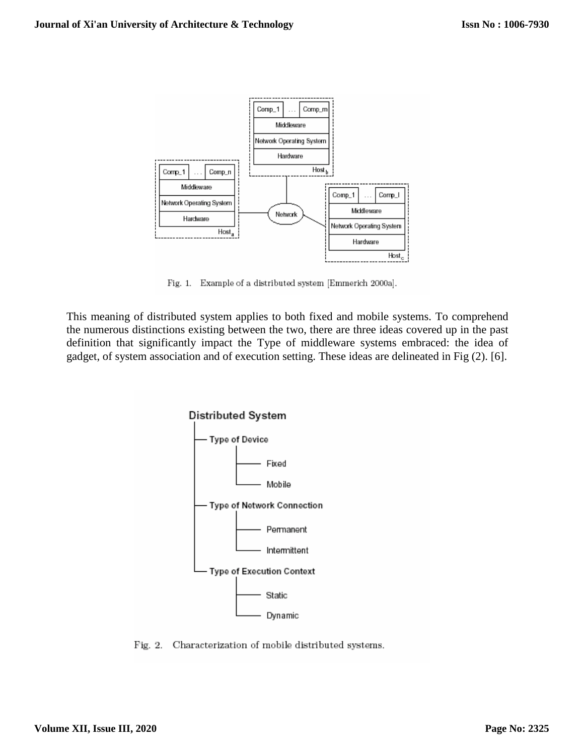

Fig. 1. Example of a distributed system [Emmerich 2000a].

This meaning of distributed system applies to both fixed and mobile systems. To comprehend the numerous distinctions existing between the two, there are three ideas covered up in the past definition that significantly impact the Type of middleware systems embraced: the idea of gadget, of system association and of execution setting. These ideas are delineated in Fig (2). [6].



Fig. 2. Characterization of mobile distributed systems.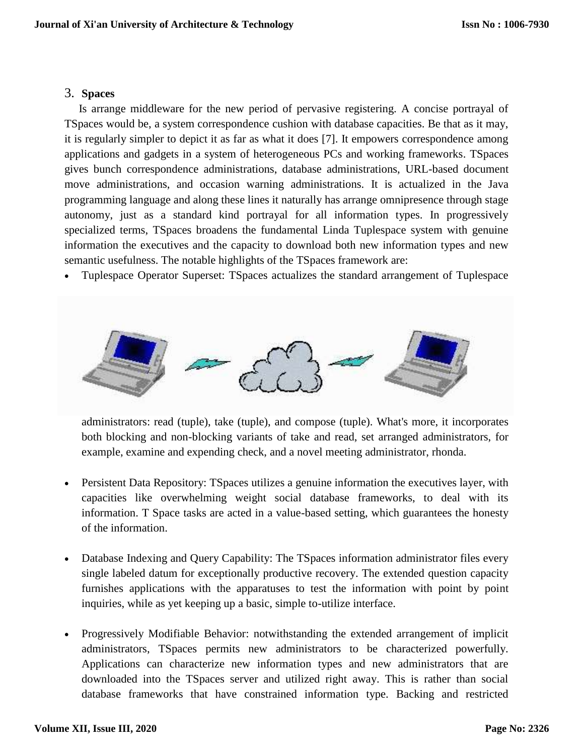### 3. **Spaces**

 Is arrange middleware for the new period of pervasive registering. A concise portrayal of TSpaces would be, a system correspondence cushion with database capacities. Be that as it may, it is regularly simpler to depict it as far as what it does [7]. It empowers correspondence among applications and gadgets in a system of heterogeneous PCs and working frameworks. TSpaces gives bunch correspondence administrations, database administrations, URL-based document move administrations, and occasion warning administrations. It is actualized in the Java programming language and along these lines it naturally has arrange omnipresence through stage autonomy, just as a standard kind portrayal for all information types. In progressively specialized terms, TSpaces broadens the fundamental Linda Tuplespace system with genuine information the executives and the capacity to download both new information types and new semantic usefulness. The notable highlights of the TSpaces framework are:

Tuplespace Operator Superset: TSpaces actualizes the standard arrangement of Tuplespace



administrators: read (tuple), take (tuple), and compose (tuple). What's more, it incorporates both blocking and non-blocking variants of take and read, set arranged administrators, for example, examine and expending check, and a novel meeting administrator, rhonda.

- Persistent Data Repository: TSpaces utilizes a genuine information the executives layer, with capacities like overwhelming weight social database frameworks, to deal with its information. T Space tasks are acted in a value-based setting, which guarantees the honesty of the information.
- Database Indexing and Query Capability: The TS paces information administrator files every single labeled datum for exceptionally productive recovery. The extended question capacity furnishes applications with the apparatuses to test the information with point by point inquiries, while as yet keeping up a basic, simple to-utilize interface.
- Progressively Modifiable Behavior: notwithstanding the extended arrangement of implicit administrators, TSpaces permits new administrators to be characterized powerfully. Applications can characterize new information types and new administrators that are downloaded into the TSpaces server and utilized right away. This is rather than social database frameworks that have constrained information type. Backing and restricted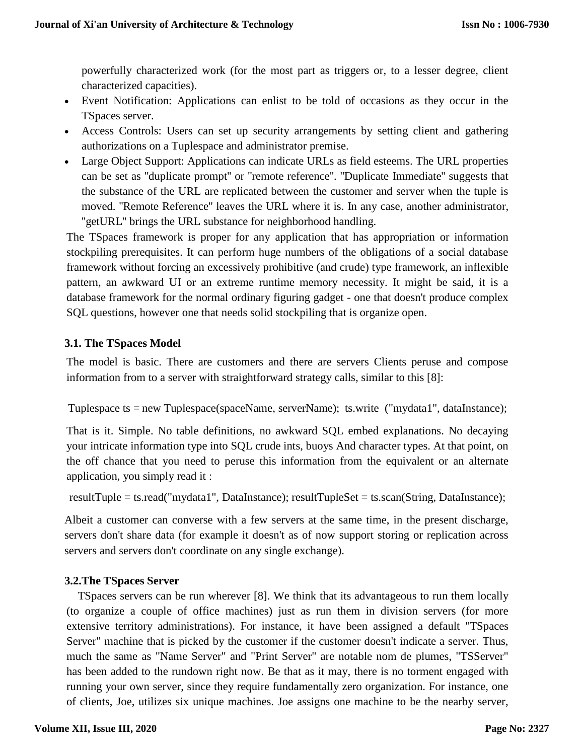powerfully characterized work (for the most part as triggers or, to a lesser degree, client characterized capacities).

- Event Notification: Applications can enlist to be told of occasions as they occur in the TSpaces server.
- Access Controls: Users can set up security arrangements by setting client and gathering authorizations on a Tuplespace and administrator premise.
- Large Object Support: Applications can indicate URLs as field esteems. The URL properties can be set as ''duplicate prompt'' or ''remote reference''. ''Duplicate Immediate'' suggests that the substance of the URL are replicated between the customer and server when the tuple is moved. ''Remote Reference'' leaves the URL where it is. In any case, another administrator, ''getURL'' brings the URL substance for neighborhood handling.

The TSpaces framework is proper for any application that has appropriation or information stockpiling prerequisites. It can perform huge numbers of the obligations of a social database framework without forcing an excessively prohibitive (and crude) type framework, an inflexible pattern, an awkward UI or an extreme runtime memory necessity. It might be said, it is a database framework for the normal ordinary figuring gadget - one that doesn't produce complex SQL questions, however one that needs solid stockpiling that is organize open.

#### **3.1. The TSpaces Model**

The model is basic. There are customers and there are servers Clients peruse and compose information from to a server with straightforward strategy calls, similar to this [8]:

Tuplespace ts = new Tuplespace(spaceName, serverName); ts.write ("mydata1", dataInstance);

That is it. Simple. No table definitions, no awkward SQL embed explanations. No decaying your intricate information type into SQL crude ints, buoys And character types. At that point, on the off chance that you need to peruse this information from the equivalent or an alternate application, you simply read it :

resultTuple = ts.read("mydata1", DataInstance); resultTupleSet = ts.scan(String, DataInstance);

Albeit a customer can converse with a few servers at the same time, in the present discharge, servers don't share data (for example it doesn't as of now support storing or replication across servers and servers don't coordinate on any single exchange).

#### **3.2.The TSpaces Server**

 TSpaces servers can be run wherever [8]. We think that its advantageous to run them locally (to organize a couple of office machines) just as run them in division servers (for more extensive territory administrations). For instance, it have been assigned a default "TSpaces Server" machine that is picked by the customer if the customer doesn't indicate a server. Thus, much the same as "Name Server" and "Print Server" are notable nom de plumes, "TSServer" has been added to the rundown right now. Be that as it may, there is no torment engaged with running your own server, since they require fundamentally zero organization. For instance, one of clients, Joe, utilizes six unique machines. Joe assigns one machine to be the nearby server,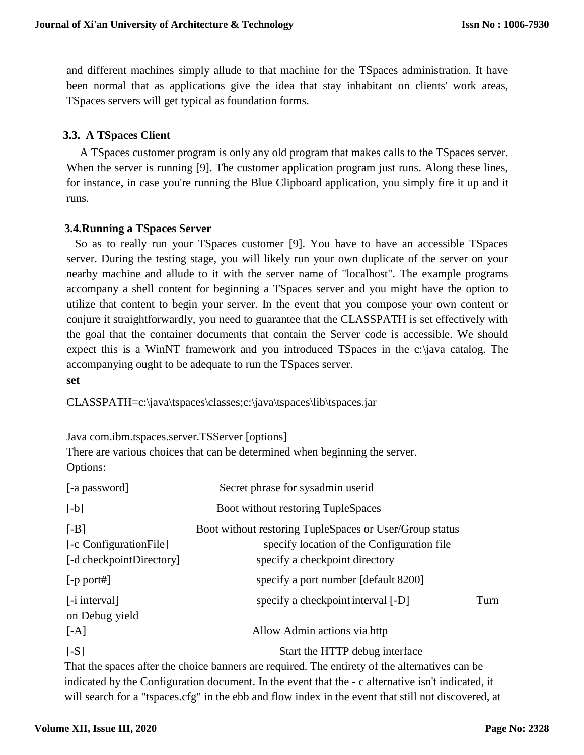and different machines simply allude to that machine for the TSpaces administration. It have been normal that as applications give the idea that stay inhabitant on clients' work areas, TSpaces servers will get typical as foundation forms.

### **3.3. A TSpaces Client**

A TSpaces customer program is only any old program that makes calls to the TSpaces server. When the server is running [9]. The customer application program just runs. Along these lines, for instance, in case you're running the Blue Clipboard application, you simply fire it up and it runs.

#### **3.4.Running a TSpaces Server**

 So as to really run your TSpaces customer [9]. You have to have an accessible TSpaces server. During the testing stage, you will likely run your own duplicate of the server on your nearby machine and allude to it with the server name of "localhost". The example programs accompany a shell content for beginning a TSpaces server and you might have the option to utilize that content to begin your server. In the event that you compose your own content or conjure it straightforwardly, you need to guarantee that the CLASSPATH is set effectively with the goal that the container documents that contain the Server code is accessible. We should expect this is a WinNT framework and you introduced TSpaces in the c:\java catalog. The accompanying ought to be adequate to run the TSpaces server. **set**

CLASSPATH=c:\java\tspaces\classes;c:\java\tspaces\lib\tspaces.jar

Java com.ibm.tspaces.server.TSServer [options]

There are various choices that can be determined when beginning the server. Options:

| [-a password]                                                 | Secret phrase for sysadmin userid                                                                                                       |      |
|---------------------------------------------------------------|-----------------------------------------------------------------------------------------------------------------------------------------|------|
| $[-b]$                                                        | Boot without restoring TupleSpaces                                                                                                      |      |
| $[-B]$<br>[-c Configuration File]<br>[-d checkpointDirectory] | Boot without restoring TupleSpaces or User/Group status<br>specify location of the Configuration file<br>specify a checkpoint directory |      |
| $[-p$ port#]                                                  | specify a port number [default 8200]                                                                                                    |      |
| [- <i>i</i> interval]<br>on Debug yield<br>[AA]               | specify a checkpoint interval [-D]<br>Allow Admin actions via http                                                                      | Turn |
| $[-S]$                                                        | Start the HTTP debug interface                                                                                                          |      |

That the spaces after the choice banners are required. The entirety of the alternatives can be indicated by the Configuration document. In the event that the - c alternative isn't indicated, it will search for a "tspaces.cfg" in the ebb and flow index in the event that still not discovered, at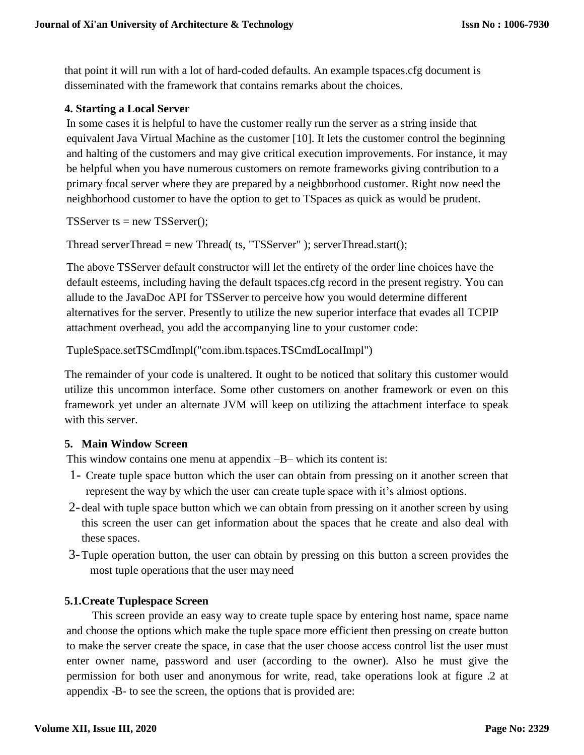that point it will run with a lot of hard-coded defaults. An example tspaces.cfg document is disseminated with the framework that contains remarks about the choices.

## **4. Starting a Local Server**

In some cases it is helpful to have the customer really run the server as a string inside that equivalent Java Virtual Machine as the customer [10]. It lets the customer control the beginning and halting of the customers and may give critical execution improvements. For instance, it may be helpful when you have numerous customers on remote frameworks giving contribution to a primary focal server where they are prepared by a neighborhood customer. Right now need the neighborhood customer to have the option to get to TSpaces as quick as would be prudent.

TSServer ts  $=$  new TSServer();

Thread serverThread = new Thread( ts, "TSServer" ); serverThread.start();

The above TSServer default constructor will let the entirety of the order line choices have the default esteems, including having the default tspaces.cfg record in the present registry. You can allude to the JavaDoc API for TSServer to perceive how you would determine different alternatives for the server. Presently to utilize the new superior interface that evades all TCPIP attachment overhead, you add the accompanying line to your customer code:

TupleSpace.setTSCmdImpl("com.ibm.tspaces.TSCmdLocalImpl")

The remainder of your code is unaltered. It ought to be noticed that solitary this customer would utilize this uncommon interface. Some other customers on another framework or even on this framework yet under an alternate JVM will keep on utilizing the attachment interface to speak with this server.

## **5. Main Window Screen**

This window contains one menu at appendix –B– which its content is:

- 1- Create tuple space button which the user can obtain from pressing on it another screen that represent the way by which the user can create tuple space with it's almost options.
- 2- deal with tuple space button which we can obtain from pressing on it another screen by using this screen the user can get information about the spaces that he create and also deal with these spaces.
- 3-Tuple operation button, the user can obtain by pressing on this button a screen provides the most tuple operations that the user may need

## **5.1.Create Tuplespace Screen**

 This screen provide an easy way to create tuple space by entering host name, space name and choose the options which make the tuple space more efficient then pressing on create button to make the server create the space, in case that the user choose access control list the user must enter owner name, password and user (according to the owner). Also he must give the permission for both user and anonymous for write, read, take operations look at figure .2 at appendix -B- to see the screen, the options that is provided are: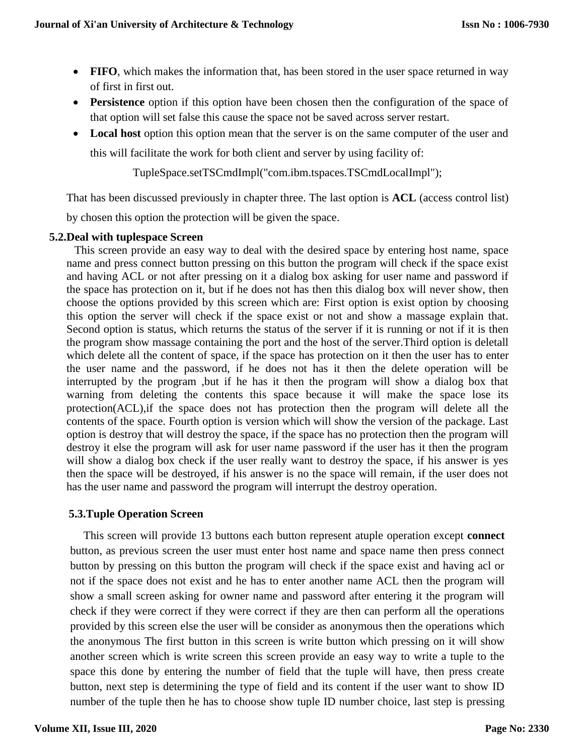- **FIFO**, which makes the information that, has been stored in the user space returned in way of first in first out.
- **Persistence** option if this option have been chosen then the configuration of the space of that option will set false this cause the space not be saved across server restart.
- Local host option this option mean that the server is on the same computer of the user and this will facilitate the work for both client and server by using facility of:

TupleSpace.setTSCmdImpl("com.ibm.tspaces.TSCmdLocalImpl");

That has been discussed previously in chapter three. The last option is **ACL** (access control list)

by chosen this option the protection will be given the space.

#### **5.2.Deal with tuplespace Screen**

This screen provide an easy way to deal with the desired space by entering host name, space name and press connect button pressing on this button the program will check if the space exist and having ACL or not after pressing on it a dialog box asking for user name and password if the space has protection on it, but if he does not has then this dialog box will never show, then choose the options provided by this screen which are: First option is exist option by choosing this option the server will check if the space exist or not and show a massage explain that. Second option is status, which returns the status of the server if it is running or not if it is then the program show massage containing the port and the host of the server.Third option is deletall which delete all the content of space, if the space has protection on it then the user has to enter the user name and the password, if he does not has it then the delete operation will be interrupted by the program ,but if he has it then the program will show a dialog box that warning from deleting the contents this space because it will make the space lose its protection(ACL),if the space does not has protection then the program will delete all the contents of the space. Fourth option is version which will show the version of the package. Last option is destroy that will destroy the space, if the space has no protection then the program will destroy it else the program will ask for user name password if the user has it then the program will show a dialog box check if the user really want to destroy the space, if his answer is yes then the space will be destroyed, if his answer is no the space will remain, if the user does not has the user name and password the program will interrupt the destroy operation.

#### **5.3.Tuple Operation Screen**

This screen will provide 13 buttons each button represent atuple operation except **connect**  button, as previous screen the user must enter host name and space name then press connect button by pressing on this button the program will check if the space exist and having acl or not if the space does not exist and he has to enter another name ACL then the program will show a small screen asking for owner name and password after entering it the program will check if they were correct if they were correct if they are then can perform all the operations provided by this screen else the user will be consider as anonymous then the operations which the anonymous The first button in this screen is write button which pressing on it will show another screen which is write screen this screen provide an easy way to write a tuple to the space this done by entering the number of field that the tuple will have, then press create button, next step is determining the type of field and its content if the user want to show ID number of the tuple then he has to choose show tuple ID number choice, last step is pressing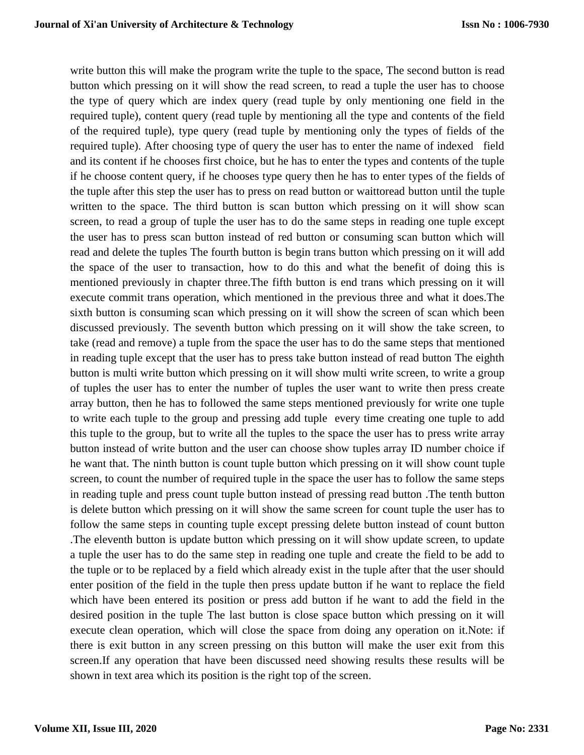write button this will make the program write the tuple to the space, The second button is read button which pressing on it will show the read screen, to read a tuple the user has to choose the type of query which are index query (read tuple by only mentioning one field in the required tuple), content query (read tuple by mentioning all the type and contents of the field of the required tuple), type query (read tuple by mentioning only the types of fields of the required tuple). After choosing type of query the user has to enter the name of indexed field and its content if he chooses first choice, but he has to enter the types and contents of the tuple if he choose content query, if he chooses type query then he has to enter types of the fields of the tuple after this step the user has to press on read button or waittoread button until the tuple written to the space. The third button is scan button which pressing on it will show scan screen, to read a group of tuple the user has to do the same steps in reading one tuple except the user has to press scan button instead of red button or consuming scan button which will read and delete the tuples The fourth button is begin trans button which pressing on it will add the space of the user to transaction, how to do this and what the benefit of doing this is mentioned previously in chapter three.The fifth button is end trans which pressing on it will execute commit trans operation, which mentioned in the previous three and what it does.The sixth button is consuming scan which pressing on it will show the screen of scan which been discussed previously. The seventh button which pressing on it will show the take screen, to take (read and remove) a tuple from the space the user has to do the same steps that mentioned in reading tuple except that the user has to press take button instead of read button The eighth button is multi write button which pressing on it will show multi write screen, to write a group of tuples the user has to enter the number of tuples the user want to write then press create array button, then he has to followed the same steps mentioned previously for write one tuple to write each tuple to the group and pressing add tuple every time creating one tuple to add this tuple to the group, but to write all the tuples to the space the user has to press write array button instead of write button and the user can choose show tuples array ID number choice if he want that. The ninth button is count tuple button which pressing on it will show count tuple screen, to count the number of required tuple in the space the user has to follow the same steps in reading tuple and press count tuple button instead of pressing read button .The tenth button is delete button which pressing on it will show the same screen for count tuple the user has to follow the same steps in counting tuple except pressing delete button instead of count button .The eleventh button is update button which pressing on it will show update screen, to update a tuple the user has to do the same step in reading one tuple and create the field to be add to the tuple or to be replaced by a field which already exist in the tuple after that the user should enter position of the field in the tuple then press update button if he want to replace the field which have been entered its position or press add button if he want to add the field in the desired position in the tuple The last button is close space button which pressing on it will execute clean operation, which will close the space from doing any operation on it.Note: if there is exit button in any screen pressing on this button will make the user exit from this screen.If any operation that have been discussed need showing results these results will be shown in text area which its position is the right top of the screen.